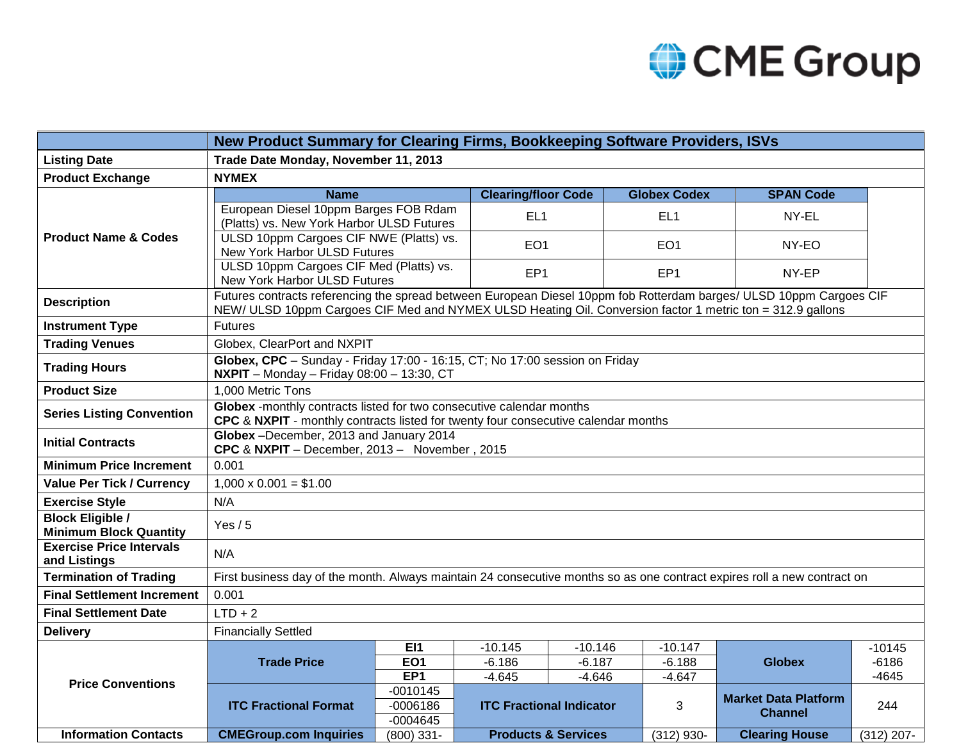

|                                                          | New Product Summary for Clearing Firms, Bookkeeping Software Providers, ISVs                                                                                                                                                     |                                    |                                 |                                |                      |                             |                    |  |  |  |
|----------------------------------------------------------|----------------------------------------------------------------------------------------------------------------------------------------------------------------------------------------------------------------------------------|------------------------------------|---------------------------------|--------------------------------|----------------------|-----------------------------|--------------------|--|--|--|
| <b>Listing Date</b>                                      | Trade Date Monday, November 11, 2013                                                                                                                                                                                             |                                    |                                 |                                |                      |                             |                    |  |  |  |
| <b>Product Exchange</b>                                  | <b>NYMEX</b>                                                                                                                                                                                                                     |                                    |                                 |                                |                      |                             |                    |  |  |  |
| <b>Product Name &amp; Codes</b>                          | <b>Name</b>                                                                                                                                                                                                                      |                                    | <b>Clearing/floor Code</b>      |                                | <b>Globex Codex</b>  | <b>SPAN Code</b>            |                    |  |  |  |
|                                                          | European Diesel 10ppm Barges FOB Rdam<br>(Platts) vs. New York Harbor ULSD Futures                                                                                                                                               |                                    | EL <sub>1</sub>                 |                                | EL <sub>1</sub>      | NY-EL                       |                    |  |  |  |
|                                                          | ULSD 10ppm Cargoes CIF NWE (Platts) vs.<br>New York Harbor ULSD Futures                                                                                                                                                          |                                    | EO <sub>1</sub>                 |                                | EO <sub>1</sub>      | NY-EO                       |                    |  |  |  |
|                                                          | ULSD 10ppm Cargoes CIF Med (Platts) vs.<br>New York Harbor ULSD Futures                                                                                                                                                          |                                    | EP <sub>1</sub>                 |                                | EP <sub>1</sub>      | NY-EP                       |                    |  |  |  |
| <b>Description</b>                                       | Futures contracts referencing the spread between European Diesel 10ppm fob Rotterdam barges/ ULSD 10ppm Cargoes CIF<br>NEW/ULSD 10ppm Cargoes CIF Med and NYMEX ULSD Heating Oil. Conversion factor 1 metric ton = 312.9 gallons |                                    |                                 |                                |                      |                             |                    |  |  |  |
| <b>Instrument Type</b>                                   | <b>Futures</b>                                                                                                                                                                                                                   |                                    |                                 |                                |                      |                             |                    |  |  |  |
| <b>Trading Venues</b>                                    | Globex, ClearPort and NXPIT                                                                                                                                                                                                      |                                    |                                 |                                |                      |                             |                    |  |  |  |
| <b>Trading Hours</b>                                     | Globex, CPC - Sunday - Friday 17:00 - 16:15, CT; No 17:00 session on Friday<br><b>NXPIT</b> - Monday - Friday 08:00 - 13:30, CT                                                                                                  |                                    |                                 |                                |                      |                             |                    |  |  |  |
| <b>Product Size</b>                                      | 1,000 Metric Tons                                                                                                                                                                                                                |                                    |                                 |                                |                      |                             |                    |  |  |  |
| <b>Series Listing Convention</b>                         | Globex -monthly contracts listed for two consecutive calendar months<br>CPC & NXPIT - monthly contracts listed for twenty four consecutive calendar months                                                                       |                                    |                                 |                                |                      |                             |                    |  |  |  |
| <b>Initial Contracts</b>                                 | Globex -December, 2013 and January 2014<br>CPC & NXPIT - December, 2013 - November, 2015                                                                                                                                         |                                    |                                 |                                |                      |                             |                    |  |  |  |
| <b>Minimum Price Increment</b>                           | 0.001                                                                                                                                                                                                                            |                                    |                                 |                                |                      |                             |                    |  |  |  |
| <b>Value Per Tick / Currency</b>                         | $1,000 \times 0.001 = $1.00$                                                                                                                                                                                                     |                                    |                                 |                                |                      |                             |                    |  |  |  |
| <b>Exercise Style</b>                                    | N/A                                                                                                                                                                                                                              |                                    |                                 |                                |                      |                             |                    |  |  |  |
| <b>Block Eligible /</b><br><b>Minimum Block Quantity</b> | Yes $/ 5$                                                                                                                                                                                                                        |                                    |                                 |                                |                      |                             |                    |  |  |  |
| <b>Exercise Price Intervals</b><br>and Listings          | N/A                                                                                                                                                                                                                              |                                    |                                 |                                |                      |                             |                    |  |  |  |
| <b>Termination of Trading</b>                            | First business day of the month. Always maintain 24 consecutive months so as one contract expires roll a new contract on                                                                                                         |                                    |                                 |                                |                      |                             |                    |  |  |  |
| <b>Final Settlement Increment</b>                        | 0.001                                                                                                                                                                                                                            |                                    |                                 |                                |                      |                             |                    |  |  |  |
| <b>Final Settlement Date</b>                             | $LTD + 2$                                                                                                                                                                                                                        |                                    |                                 |                                |                      |                             |                    |  |  |  |
| <b>Delivery</b>                                          | <b>Financially Settled</b>                                                                                                                                                                                                       |                                    |                                 |                                |                      |                             |                    |  |  |  |
| <b>Price Conventions</b>                                 | <b>Trade Price</b>                                                                                                                                                                                                               | EI1                                | $-10.145$                       | $-10.146$                      | $-10.147$            | <b>Globex</b>               | $-10145$           |  |  |  |
|                                                          |                                                                                                                                                                                                                                  | EO <sub>1</sub><br>EP <sub>1</sub> | $-6.186$<br>$-4.645$            | $-6.187$<br>$-4.646$           | $-6.188$<br>$-4.647$ |                             | $-6186$<br>$-4645$ |  |  |  |
|                                                          | <b>ITC Fractional Format</b>                                                                                                                                                                                                     | $-0010145$                         |                                 |                                |                      |                             |                    |  |  |  |
|                                                          |                                                                                                                                                                                                                                  | $-0006186$                         | <b>ITC Fractional Indicator</b> |                                | 3                    | <b>Market Data Platform</b> | 244                |  |  |  |
|                                                          |                                                                                                                                                                                                                                  | $-0004645$                         |                                 |                                |                      | <b>Channel</b>              |                    |  |  |  |
| <b>Information Contacts</b>                              | <b>CMEGroup.com Inquiries</b>                                                                                                                                                                                                    | $(800)$ 331-                       |                                 | <b>Products &amp; Services</b> | $(312)$ 930-         | <b>Clearing House</b>       | $(312)$ 207-       |  |  |  |